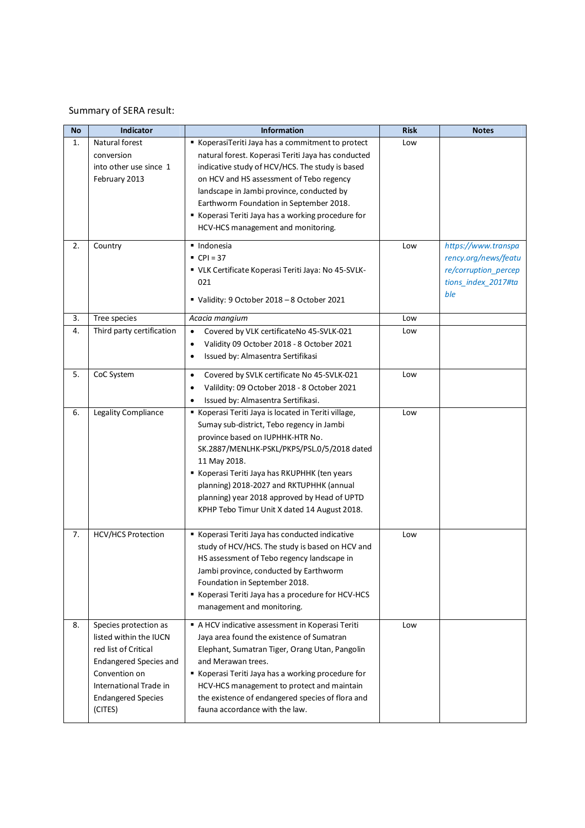## Summary of SERA result:

| No | Indicator                                                                                                                                                                                   | <b>Information</b>                                                                                                                                                                                                                                                                                                                                                                            | <b>Risk</b> | <b>Notes</b>                                                                                      |
|----|---------------------------------------------------------------------------------------------------------------------------------------------------------------------------------------------|-----------------------------------------------------------------------------------------------------------------------------------------------------------------------------------------------------------------------------------------------------------------------------------------------------------------------------------------------------------------------------------------------|-------------|---------------------------------------------------------------------------------------------------|
| 1. | Natural forest<br>conversion<br>into other use since 1<br>February 2013                                                                                                                     | KoperasiTeriti Jaya has a commitment to protect<br>natural forest. Koperasi Teriti Jaya has conducted<br>indicative study of HCV/HCS. The study is based<br>on HCV and HS assessment of Tebo regency<br>landscape in Jambi province, conducted by<br>Earthworm Foundation in September 2018.<br>Koperasi Teriti Jaya has a working procedure for<br>HCV-HCS management and monitoring.        | Low         |                                                                                                   |
| 2. | Country                                                                                                                                                                                     | · Indonesia<br>$CPI = 37$<br>" VLK Certificate Koperasi Teriti Jaya: No 45-SVLK-<br>021<br>Validity: 9 October 2018 - 8 October 2021                                                                                                                                                                                                                                                          | Low         | https://www.transpa<br>rency.org/news/featu<br>re/corruption_percep<br>tions_index_2017#ta<br>ble |
| 3. | Tree species                                                                                                                                                                                | Acacia mangium                                                                                                                                                                                                                                                                                                                                                                                | Low         |                                                                                                   |
| 4. | Third party certification                                                                                                                                                                   | Covered by VLK certificateNo 45-SVLK-021<br>$\bullet$<br>Validity 09 October 2018 - 8 October 2021<br>$\bullet$<br>Issued by: Almasentra Sertifikasi<br>$\bullet$                                                                                                                                                                                                                             | Low         |                                                                                                   |
| 5. | CoC System                                                                                                                                                                                  | Covered by SVLK certificate No 45-SVLK-021<br>$\bullet$<br>Valildity: 09 October 2018 - 8 October 2021<br>Issued by: Almasentra Sertifikasi.                                                                                                                                                                                                                                                  | Low         |                                                                                                   |
| 6. | Legality Compliance                                                                                                                                                                         | Koperasi Teriti Jaya is located in Teriti village,<br>Sumay sub-district, Tebo regency in Jambi<br>province based on IUPHHK-HTR No.<br>SK.2887/MENLHK-PSKL/PKPS/PSL.0/5/2018 dated<br>11 May 2018.<br>Koperasi Teriti Jaya has RKUPHHK (ten years<br>planning) 2018-2027 and RKTUPHHK (annual<br>planning) year 2018 approved by Head of UPTD<br>KPHP Tebo Timur Unit X dated 14 August 2018. | Low         |                                                                                                   |
| 7. | <b>HCV/HCS Protection</b>                                                                                                                                                                   | Koperasi Teriti Jaya has conducted indicative<br>study of HCV/HCS. The study is based on HCV and<br>HS assessment of Tebo regency landscape in<br>Jambi province, conducted by Earthworm<br>Foundation in September 2018.<br>Koperasi Teriti Jaya has a procedure for HCV-HCS<br>management and monitoring.                                                                                   | Low         |                                                                                                   |
| 8. | Species protection as<br>listed within the IUCN<br>red list of Critical<br><b>Endangered Species and</b><br>Convention on<br>International Trade in<br><b>Endangered Species</b><br>(CITES) | A HCV indicative assessment in Koperasi Teriti<br>Jaya area found the existence of Sumatran<br>Elephant, Sumatran Tiger, Orang Utan, Pangolin<br>and Merawan trees.<br>Koperasi Teriti Jaya has a working procedure for<br>HCV-HCS management to protect and maintain<br>the existence of endangered species of flora and<br>fauna accordance with the law.                                   | Low         |                                                                                                   |